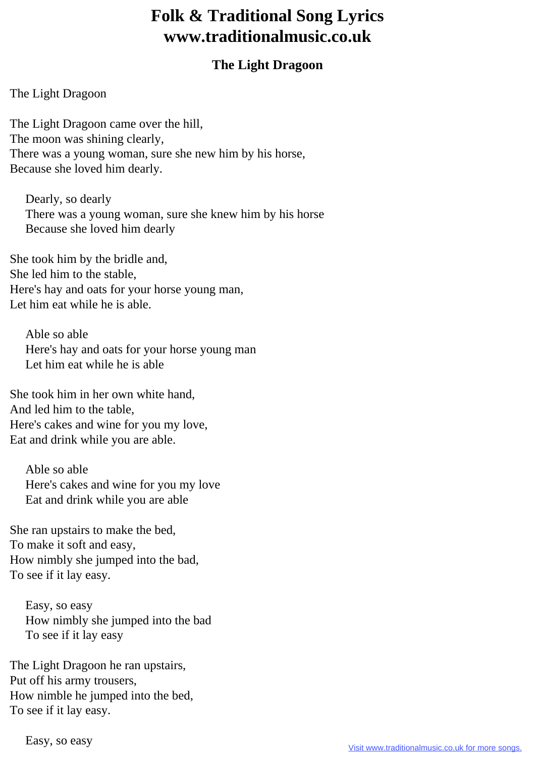## **Folk & Traditional Song Lyrics www.traditionalmusic.co.uk**

## **The Light Dragoon**

The Light Dragoon

The Light Dragoon came over the hill, The moon was shining clearly, There was a young woman, sure she new him by his horse, Because she loved him dearly.

 Dearly, so dearly There was a young woman, sure she knew him by his horse Because she loved him dearly

She took him by the bridle and, She led him to the stable, Here's hay and oats for your horse young man, Let him eat while he is able.

 Able so able Here's hay and oats for your horse young man Let him eat while he is able

She took him in her own white hand, And led him to the table, Here's cakes and wine for you my love, Eat and drink while you are able.

 Able so able Here's cakes and wine for you my love Eat and drink while you are able

She ran upstairs to make the bed, To make it soft and easy, How nimbly she jumped into the bad, To see if it lay easy.

 Easy, so easy How nimbly she jumped into the bad To see if it lay easy

The Light Dragoon he ran upstairs, Put off his army trousers, How nimble he jumped into the bed, To see if it lay easy.

Easy, so easy